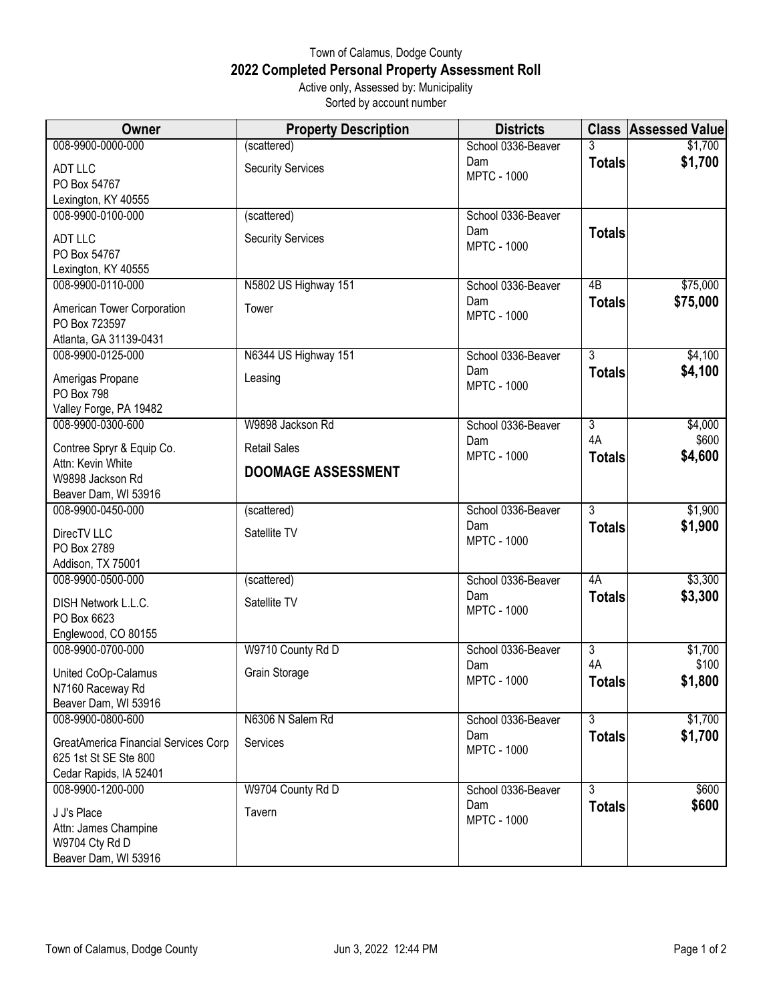## Town of Calamus, Dodge County **2022 Completed Personal Property Assessment Roll** Active only, Assessed by: Municipality

Sorted by account number

| <b>Owner</b>                                    | <b>Property Description</b> | <b>Districts</b>          |                | <b>Class Assessed Value</b> |
|-------------------------------------------------|-----------------------------|---------------------------|----------------|-----------------------------|
| 008-9900-0000-000                               | (scattered)                 | School 0336-Beaver        |                | \$1,700                     |
| ADT LLC                                         | <b>Security Services</b>    | Dam                       | <b>Totals</b>  | \$1,700                     |
| PO Box 54767                                    |                             | <b>MPTC - 1000</b>        |                |                             |
| Lexington, KY 40555                             |                             |                           |                |                             |
| 008-9900-0100-000                               | (scattered)                 | School 0336-Beaver        |                |                             |
| <b>ADT LLC</b>                                  | <b>Security Services</b>    | Dam                       | <b>Totals</b>  |                             |
| PO Box 54767                                    |                             | <b>MPTC - 1000</b>        |                |                             |
| Lexington, KY 40555                             |                             |                           |                |                             |
| 008-9900-0110-000                               | N5802 US Highway 151        | School 0336-Beaver        | 4B             | \$75,000                    |
|                                                 |                             | Dam                       | <b>Totals</b>  | \$75,000                    |
| American Tower Corporation                      | Tower                       | <b>MPTC - 1000</b>        |                |                             |
| PO Box 723597                                   |                             |                           |                |                             |
| Atlanta, GA 31139-0431<br>008-9900-0125-000     | N6344 US Highway 151        | School 0336-Beaver        | $\overline{3}$ | \$4,100                     |
|                                                 |                             | Dam                       | <b>Totals</b>  | \$4,100                     |
| Amerigas Propane                                | Leasing                     | <b>MPTC - 1000</b>        |                |                             |
| PO Box 798                                      |                             |                           |                |                             |
| Valley Forge, PA 19482                          |                             |                           |                |                             |
| 008-9900-0300-600                               | W9898 Jackson Rd            | School 0336-Beaver        | $\overline{3}$ | \$4,000                     |
| Contree Spryr & Equip Co.                       | <b>Retail Sales</b>         | Dam                       | 4A             | \$600                       |
| Attn: Kevin White                               |                             | <b>MPTC - 1000</b>        | <b>Totals</b>  | \$4,600                     |
| W9898 Jackson Rd                                | <b>DOOMAGE ASSESSMENT</b>   |                           |                |                             |
| Beaver Dam, WI 53916                            |                             |                           |                |                             |
| 008-9900-0450-000                               | (scattered)                 | School 0336-Beaver        | 3              | \$1,900                     |
| DirecTV LLC                                     | Satellite TV                | Dam                       | <b>Totals</b>  | \$1,900                     |
| PO Box 2789                                     |                             | <b>MPTC - 1000</b>        |                |                             |
| Addison, TX 75001                               |                             |                           |                |                             |
| 008-9900-0500-000                               | (scattered)                 | School 0336-Beaver        | 4A             | \$3,300                     |
| DISH Network L.L.C.                             | Satellite TV                | Dam                       | <b>Totals</b>  | \$3,300                     |
| PO Box 6623                                     |                             | <b>MPTC - 1000</b>        |                |                             |
| Englewood, CO 80155                             |                             |                           |                |                             |
| 008-9900-0700-000                               | W9710 County Rd D           | School 0336-Beaver        | $\overline{3}$ | \$1,700                     |
|                                                 | Grain Storage               | Dam                       | 4A             | \$100                       |
| United CoOp-Calamus<br>N7160 Raceway Rd         |                             | <b>MPTC - 1000</b>        | <b>Totals</b>  | \$1,800                     |
| Beaver Dam, WI 53916                            |                             |                           |                |                             |
| 008-9900-0800-600                               | N6306 N Salem Rd            | School 0336-Beaver        | $\overline{3}$ | \$1,700                     |
|                                                 |                             | Dam                       | <b>Totals</b>  | \$1,700                     |
| GreatAmerica Financial Services Corp            | Services                    | <b>MPTC - 1000</b>        |                |                             |
| 625 1st St SE Ste 800<br>Cedar Rapids, IA 52401 |                             |                           |                |                             |
| 008-9900-1200-000                               | W9704 County Rd D           |                           | $\overline{3}$ | \$600                       |
|                                                 |                             | School 0336-Beaver<br>Dam |                | \$600                       |
| J J's Place                                     | Tavern                      | <b>MPTC - 1000</b>        | <b>Totals</b>  |                             |
| Attn: James Champine                            |                             |                           |                |                             |
| W9704 Cty Rd D                                  |                             |                           |                |                             |
| Beaver Dam, WI 53916                            |                             |                           |                |                             |